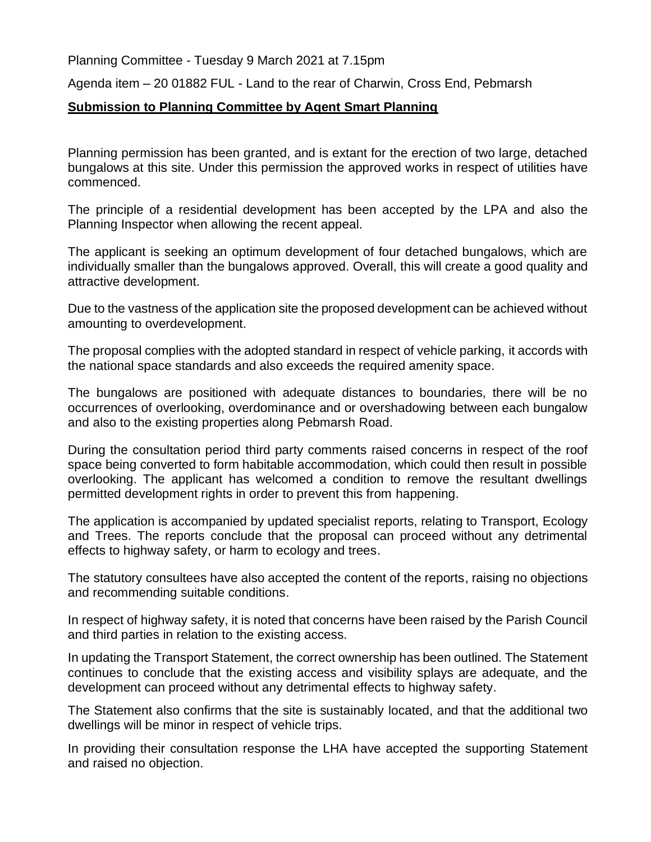Planning Committee - Tuesday 9 March 2021 at 7.15pm

Agenda item – 20 01882 FUL - Land to the rear of Charwin, Cross End, Pebmarsh

## **Submission to Planning Committee by Agent Smart Planning**

Planning permission has been granted, and is extant for the erection of two large, detached bungalows at this site. Under this permission the approved works in respect of utilities have commenced.

The principle of a residential development has been accepted by the LPA and also the Planning Inspector when allowing the recent appeal.

The applicant is seeking an optimum development of four detached bungalows, which are individually smaller than the bungalows approved. Overall, this will create a good quality and attractive development.

Due to the vastness of the application site the proposed development can be achieved without amounting to overdevelopment.

The proposal complies with the adopted standard in respect of vehicle parking, it accords with the national space standards and also exceeds the required amenity space.

The bungalows are positioned with adequate distances to boundaries, there will be no occurrences of overlooking, overdominance and or overshadowing between each bungalow and also to the existing properties along Pebmarsh Road.

During the consultation period third party comments raised concerns in respect of the roof space being converted to form habitable accommodation, which could then result in possible overlooking. The applicant has welcomed a condition to remove the resultant dwellings permitted development rights in order to prevent this from happening.

The application is accompanied by updated specialist reports, relating to Transport, Ecology and Trees. The reports conclude that the proposal can proceed without any detrimental effects to highway safety, or harm to ecology and trees.

The statutory consultees have also accepted the content of the reports, raising no objections and recommending suitable conditions.

In respect of highway safety, it is noted that concerns have been raised by the Parish Council and third parties in relation to the existing access.

In updating the Transport Statement, the correct ownership has been outlined. The Statement continues to conclude that the existing access and visibility splays are adequate, and the development can proceed without any detrimental effects to highway safety.

The Statement also confirms that the site is sustainably located, and that the additional two dwellings will be minor in respect of vehicle trips.

In providing their consultation response the LHA have accepted the supporting Statement and raised no objection.